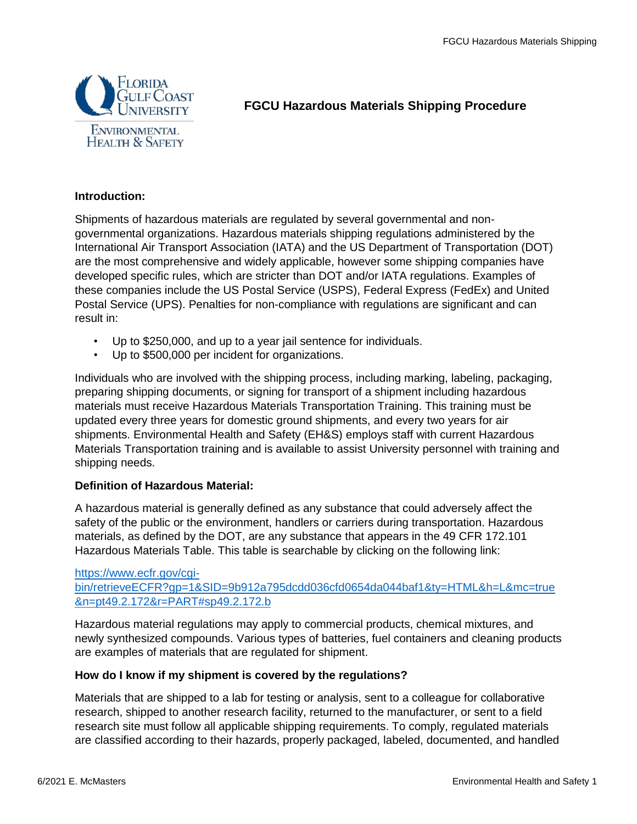

# **FGCU Hazardous Materials Shipping Procedure**

#### **Introduction:**

Shipments of hazardous materials are regulated by several governmental and nongovernmental organizations. Hazardous materials shipping regulations administered by the International Air Transport Association (IATA) and the US Department of Transportation (DOT) are the most comprehensive and widely applicable, however some shipping companies have developed specific rules, which are stricter than DOT and/or IATA regulations. Examples of these companies include the US Postal Service (USPS), Federal Express (FedEx) and United Postal Service (UPS). Penalties for non-compliance with regulations are significant and can result in:

- Up to \$250,000, and up to a year jail sentence for individuals.
- Up to \$500,000 per incident for organizations.

Individuals who are involved with the shipping process, including marking, labeling, packaging, preparing shipping documents, or signing for transport of a shipment including hazardous materials must receive Hazardous Materials Transportation Training. This training must be updated every three years for domestic ground shipments, and every two years for air shipments. Environmental Health and Safety (EH&S) employs staff with current Hazardous Materials Transportation training and is available to assist University personnel with training and shipping needs.

# **Definition of Hazardous Material:**

A hazardous material is generally defined as any substance that could adversely affect the safety of the public or the environment, handlers or carriers during transportation. Hazardous materials, as defined by the DOT, are any substance that appears in the 49 CFR 172.101 Hazardous Materials Table. This table is searchable by clicking on the following link:

#### [https://www.ecfr.gov/cgi](https://www.ecfr.gov/cgi-bin/retrieveECFR?gp=1&SID=9b912a795dcdd036cfd0654da044baf1&ty=HTML&h=L&mc=true&n=pt49.2.172&r=PART#sp49.2.172.b)[bin/retrieveECFR?gp=1&SID=9b912a795dcdd036cfd0654da044baf1&ty=HTML&h=L&mc=true](https://www.ecfr.gov/cgi-bin/retrieveECFR?gp=1&SID=9b912a795dcdd036cfd0654da044baf1&ty=HTML&h=L&mc=true&n=pt49.2.172&r=PART#sp49.2.172.b) [&n=pt49.2.172&r=PART#sp49.2.172.b](https://www.ecfr.gov/cgi-bin/retrieveECFR?gp=1&SID=9b912a795dcdd036cfd0654da044baf1&ty=HTML&h=L&mc=true&n=pt49.2.172&r=PART#sp49.2.172.b)

Hazardous material regulations may apply to commercial products, chemical mixtures, and newly synthesized compounds. Various types of batteries, fuel containers and cleaning products are examples of materials that are regulated for shipment.

# **How do I know if my shipment is covered by the regulations?**

Materials that are shipped to a lab for testing or analysis, sent to a colleague for collaborative research, shipped to another research facility, returned to the manufacturer, or sent to a field research site must follow all applicable shipping requirements. To comply, regulated materials are classified according to their hazards, properly packaged, labeled, documented, and handled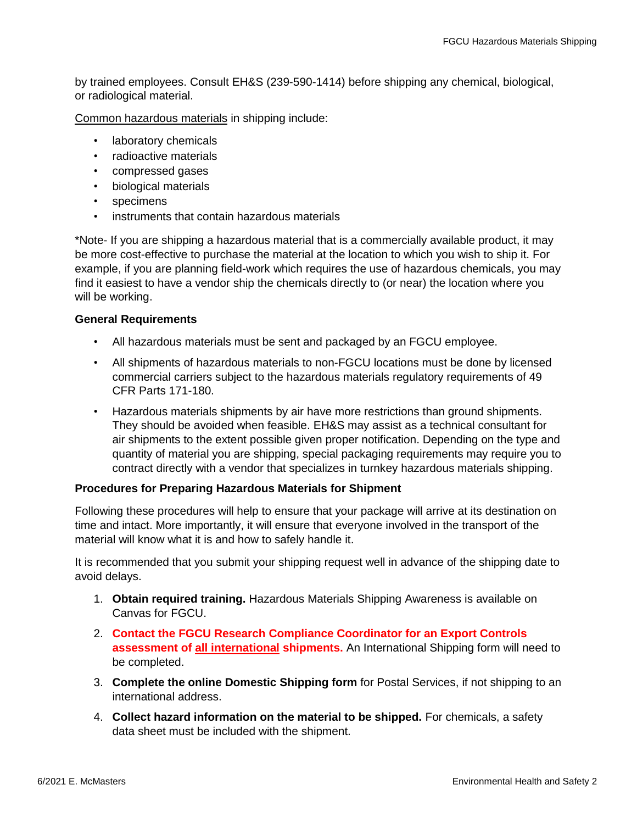by trained employees. Consult EH&S (239-590-1414) before shipping any chemical, biological, or radiological material.

Common hazardous materials in shipping include:

- laboratory chemicals
- radioactive materials
- compressed gases
- biological materials
- specimens
- instruments that contain hazardous materials

\*Note- If you are shipping a hazardous material that is a commercially available product, it may be more cost-effective to purchase the material at the location to which you wish to ship it. For example, if you are planning field-work which requires the use of hazardous chemicals, you may find it easiest to have a vendor ship the chemicals directly to (or near) the location where you will be working.

#### **General Requirements**

- All hazardous materials must be sent and packaged by an FGCU employee.
- All shipments of hazardous materials to non-FGCU locations must be done by licensed commercial carriers subject to the hazardous materials regulatory requirements of 49 CFR Parts 171-180.
- Hazardous materials shipments by air have more restrictions than ground shipments. They should be avoided when feasible. EH&S may assist as a technical consultant for air shipments to the extent possible given proper notification. Depending on the type and quantity of material you are shipping, special packaging requirements may require you to contract directly with a vendor that specializes in turnkey hazardous materials shipping.

#### **Procedures for Preparing Hazardous Materials for Shipment**

Following these procedures will help to ensure that your package will arrive at its destination on time and intact. More importantly, it will ensure that everyone involved in the transport of the material will know what it is and how to safely handle it.

It is recommended that you submit your shipping request well in advance of the shipping date to avoid delays.

- 1. **Obtain required training.** Hazardous Materials Shipping Awareness is available on Canvas for FGCU.
- 2. **Contact the FGCU Research Compliance Coordinator for an Export Controls assessment of all international shipments.** An International Shipping form will need to be completed.
- 3. **Complete the online Domestic Shipping form** for Postal Services, if not shipping to an international address.
- 4. **Collect hazard information on the material to be shipped.** For chemicals, a safety data sheet must be included with the shipment.